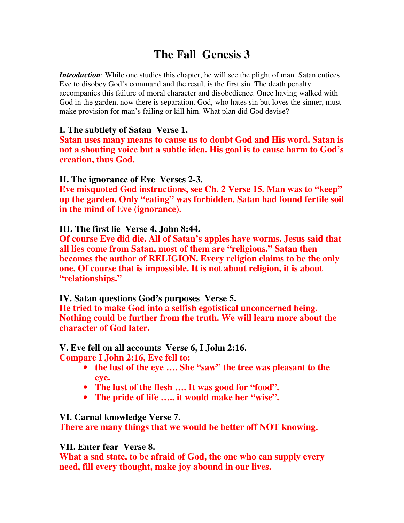# **The Fall Genesis 3**

*Introduction*: While one studies this chapter, he will see the plight of man. Satan entices Eve to disobey God's command and the result is the first sin. The death penalty accompanies this failure of moral character and disobedience. Once having walked with God in the garden, now there is separation. God, who hates sin but loves the sinner, must make provision for man's failing or kill him. What plan did God devise?

### **I. The subtlety of Satan Verse 1.**

**Satan uses many means to cause us to doubt God and His word. Satan is not a shouting voice but a subtle idea. His goal is to cause harm to God's creation, thus God.** 

### **II. The ignorance of Eve Verses 2-3.**

**Eve misquoted God instructions, see Ch. 2 Verse 15. Man was to "keep" up the garden. Only "eating" was forbidden. Satan had found fertile soil in the mind of Eve (ignorance).** 

### **III. The first lie Verse 4, John 8:44.**

**Of course Eve did die. All of Satan's apples have worms. Jesus said that all lies come from Satan, most of them are "religious." Satan then becomes the author of RELIGION. Every religion claims to be the only one. Of course that is impossible. It is not about religion, it is about "relationships."** 

### **IV. Satan questions God's purposes Verse 5.**

**He tried to make God into a selfish egotistical unconcerned being. Nothing could be further from the truth. We will learn more about the character of God later.** 

### **V. Eve fell on all accounts Verse 6, I John 2:16.**

**Compare I John 2:16, Eve fell to:** 

- **the lust of the eye …. She "saw" the tree was pleasant to the eye.**
- **The lust of the flesh …. It was good for "food".**
- **The pride of life ….. it would make her "wise".**

### **VI. Carnal knowledge Verse 7.**

**There are many things that we would be better off NOT knowing.** 

### **VII. Enter fear Verse 8.**

**What a sad state, to be afraid of God, the one who can supply every need, fill every thought, make joy abound in our lives.**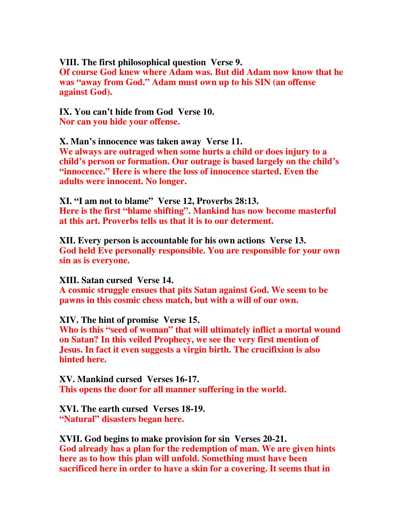#### **VIII. The first philosophical question Verse 9.**

**Of course God knew where Adam was. But did Adam now know that he was "away from God." Adam must own up to his SIN (an offense against God).** 

**IX. You can't hide from God Verse 10. Nor can you hide your offense.** 

**X. Man's innocence was taken away Verse 11.** 

**We always are outraged when some hurts a child or does injury to a child's person or formation. Our outrage is based largely on the child's "innocence." Here is where the loss of innocence started. Even the adults were innocent. No longer.** 

**XI. "I am not to blame" Verse 12, Proverbs 28:13. Here is the first "blame shifting". Mankind has now become masterful at this art. Proverbs tells us that it is to our determent.** 

**XII. Every person is accountable for his own actions Verse 13. God held Eve personally responsible. You are responsible for your own sin as is everyone.** 

**XIII. Satan cursed Verse 14.** 

**A cosmic struggle ensues that pits Satan against God. We seem to be pawns in this cosmic chess match, but with a will of our own.** 

**XIV. The hint of promise Verse 15.** 

**Who is this "seed of woman" that will ultimately inflict a mortal wound on Satan? In this veiled Prophecy, we see the very first mention of Jesus. In fact it even suggests a virgin birth. The crucifixion is also hinted here.** 

**XV. Mankind cursed Verses 16-17. This opens the door for all manner suffering in the world.** 

**XVI. The earth cursed Verses 18-19. "Natural" disasters began here.** 

**XVII. God begins to make provision for sin Verses 20-21. God already has a plan for the redemption of man. We are given hints here as to how this plan will unfold. Something must have been sacrificed here in order to have a skin for a covering. It seems that in**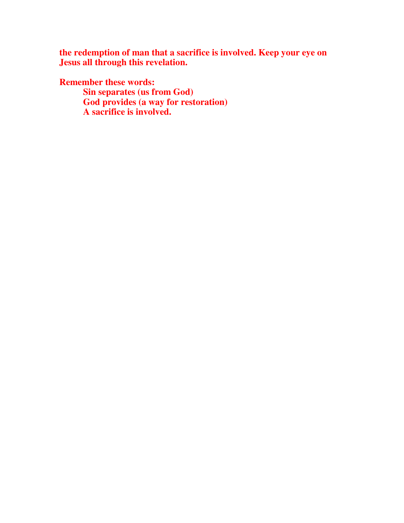**the redemption of man that a sacrifice is involved. Keep your eye on Jesus all through this revelation.** 

**Remember these words:** 

 **Sin separates (us from God) God provides (a way for restoration) A sacrifice is involved.**